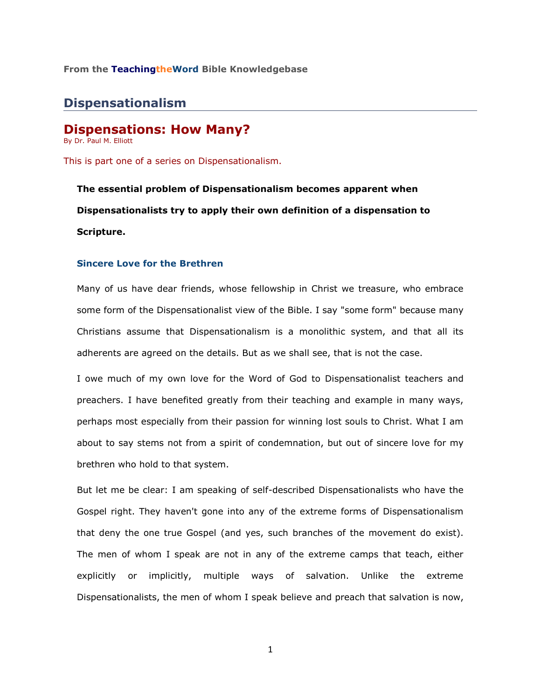## **From the TeachingtheWord Bible Knowledgebase**\_\_\_\_\_\_\_\_\_\_\_\_\_\_\_\_\_\_\_\_\_\_\_\_

# **Dispensationalism**

# **Dispensations: How Many?**

By Dr. Paul M. Elliott

This is part one of a series on Dispensationalism.

**The essential problem of Dispensationalism becomes apparent when Dispensationalists try to apply their own definition of a dispensation to Scripture.** 

### **Sincere Love for the Brethren**

Many of us have dear friends, whose fellowship in Christ we treasure, who embrace some form of the Dispensationalist view of the Bible. I say "some form" because many Christians assume that Dispensationalism is a monolithic system, and that all its adherents are agreed on the details. But as we shall see, that is not the case.

I owe much of my own love for the Word of God to Dispensationalist teachers and preachers. I have benefited greatly from their teaching and example in many ways, perhaps most especially from their passion for winning lost souls to Christ. What I am about to say stems not from a spirit of condemnation, but out of sincere love for my brethren who hold to that system.

But let me be clear: I am speaking of self-described Dispensationalists who have the Gospel right. They haven't gone into any of the extreme forms of Dispensationalism that deny the one true Gospel (and yes, such branches of the movement do exist). The men of whom I speak are not in any of the extreme camps that teach, either explicitly or implicitly, multiple ways of salvation. Unlike the extreme Dispensationalists, the men of whom I speak believe and preach that salvation is now,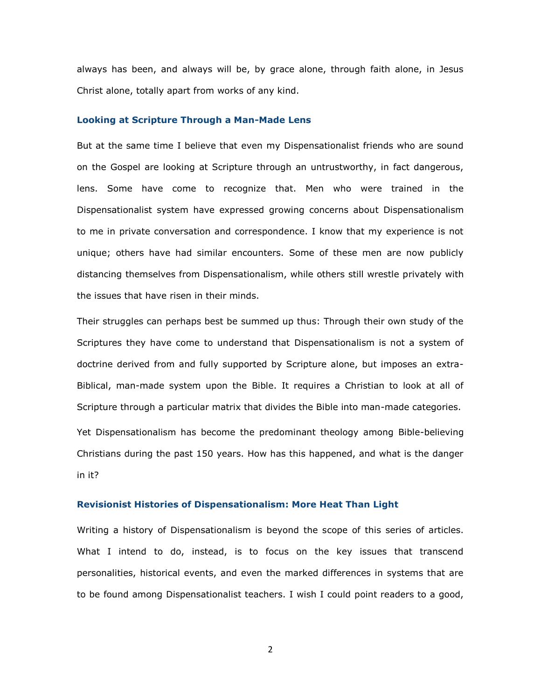always has been, and always will be, by grace alone, through faith alone, in Jesus Christ alone, totally apart from works of any kind.

#### **Looking at Scripture Through a Man-Made Lens**

But at the same time I believe that even my Dispensationalist friends who are sound on the Gospel are looking at Scripture through an untrustworthy, in fact dangerous, lens. Some have come to recognize that. Men who were trained in the Dispensationalist system have expressed growing concerns about Dispensationalism to me in private conversation and correspondence. I know that my experience is not unique; others have had similar encounters. Some of these men are now publicly distancing themselves from Dispensationalism, while others still wrestle privately with the issues that have risen in their minds.

Their struggles can perhaps best be summed up thus: Through their own study of the Scriptures they have come to understand that Dispensationalism is not a system of doctrine derived from and fully supported by Scripture alone, but imposes an extra-Biblical, man-made system upon the Bible. It requires a Christian to look at all of Scripture through a particular matrix that divides the Bible into man-made categories. Yet Dispensationalism has become the predominant theology among Bible-believing Christians during the past 150 years. How has this happened, and what is the danger in it?

### **Revisionist Histories of Dispensationalism: More Heat Than Light**

Writing a history of Dispensationalism is beyond the scope of this series of articles. What I intend to do, instead, is to focus on the key issues that transcend personalities, historical events, and even the marked differences in systems that are to be found among Dispensationalist teachers. I wish I could point readers to a good,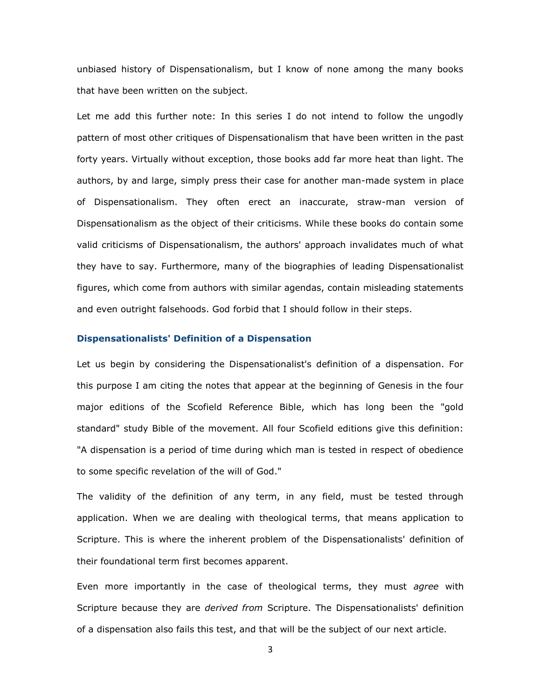unbiased history of Dispensationalism, but I know of none among the many books that have been written on the subject.

Let me add this further note: In this series I do not intend to follow the ungodly pattern of most other critiques of Dispensationalism that have been written in the past forty years. Virtually without exception, those books add far more heat than light. The authors, by and large, simply press their case for another man-made system in place of Dispensationalism. They often erect an inaccurate, straw-man version of Dispensationalism as the object of their criticisms. While these books do contain some valid criticisms of Dispensationalism, the authors' approach invalidates much of what they have to say. Furthermore, many of the biographies of leading Dispensationalist figures, which come from authors with similar agendas, contain misleading statements and even outright falsehoods. God forbid that I should follow in their steps.

#### **Dispensationalists' Definition of a Dispensation**

Let us begin by considering the Dispensationalist's definition of a dispensation. For this purpose I am citing the notes that appear at the beginning of Genesis in the four major editions of the Scofield Reference Bible, which has long been the "gold standard" study Bible of the movement. All four Scofield editions give this definition: "A dispensation is a period of time during which man is tested in respect of obedience to some specific revelation of the will of God."

The validity of the definition of any term, in any field, must be tested through application. When we are dealing with theological terms, that means application to Scripture. This is where the inherent problem of the Dispensationalists' definition of their foundational term first becomes apparent.

Even more importantly in the case of theological terms, they must *agree* with Scripture because they are *derived from* Scripture. The Dispensationalists' definition of a dispensation also fails this test, and that will be the subject of our next article.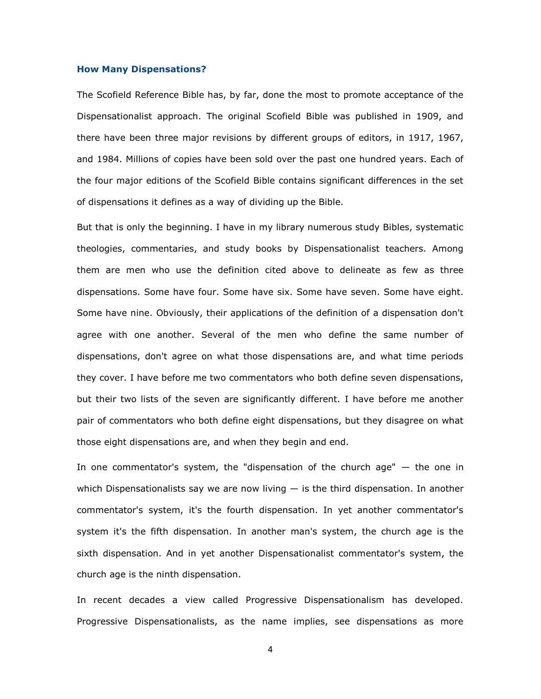#### **How Many Dispensations?**

The Scofield Reference Bible has, by far, done the most to promote acceptance of the Dispensationalist approach. The original Scofield Bible was published in 1909, and there have been three major revisions by different groups of editors, in 1917, 1967, and 1984. Millions of copies have been sold over the past one hundred years. Each of the four major editions of the Scofield Bible contains significant differences in the set of dispensations it defines as a way of dividing up the Bible.

But that is only the beginning. I have in my library numerous study Bibles, systematic theologies, commentaries, and study books by Dispensationalist teachers. Among them are men who use the definition cited above to delineate as few as three dispensations. Some have four. Some have six. Some have seven. Some have eight. Some have nine. Obviously, their applications of the definition of a dispensation don't agree with one another. Several of the men who define the same number of dispensations, don't agree on what those dispensations are, and what time periods they cover. I have before me two commentators who both define seven dispensations, but their two lists of the seven are significantly different. I have before me another pair of commentators who both define eight dispensations, but they disagree on what those eight dispensations are, and when they begin and end.

In one commentator's system, the "dispensation of the church age" — the one in which Dispensationalists say we are now living  $-$  is the third dispensation. In another commentator's system, it's the fourth dispensation. In yet another commentator's system it's the fifth dispensation. In another man's system, the church age is the sixth dispensation. And in yet another Dispensationalist commentator's system, the church age is the ninth dispensation.

In recent decades a view called Progressive Dispensationalism has developed. Progressive Dispensationalists, as the name implies, see dispensations as more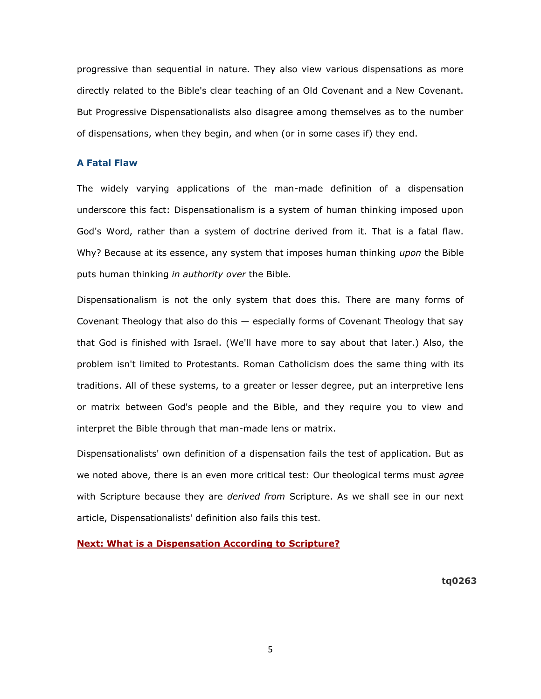progressive than sequential in nature. They also view various dispensations as more directly related to the Bible's clear teaching of an Old Covenant and a New Covenant. But Progressive Dispensationalists also disagree among themselves as to the number of dispensations, when they begin, and when (or in some cases if) they end.

### **A Fatal Flaw**

The widely varying applications of the man-made definition of a dispensation underscore this fact: Dispensationalism is a system of human thinking imposed upon God's Word, rather than a system of doctrine derived from it. That is a fatal flaw. Why? Because at its essence, any system that imposes human thinking *upon* the Bible puts human thinking *in authority over* the Bible.

Dispensationalism is not the only system that does this. There are many forms of Covenant Theology that also do this — especially forms of Covenant Theology that say that God is finished with Israel. (We'll have more to say about that later.) Also, the problem isn't limited to Protestants. Roman Catholicism does the same thing with its traditions. All of these systems, to a greater or lesser degree, put an interpretive lens or matrix between God's people and the Bible, and they require you to view and interpret the Bible through that man-made lens or matrix.

Dispensationalists' own definition of a dispensation fails the test of application. But as we noted above, there is an even more critical test: Our theological terms must *agree* with Scripture because they are *derived from* Scripture. As we shall see in our next article, Dispensationalists' definition also fails this test.

# **[Next: What is a Dispensation According to Scripture?](http://73011.netministry.com/apps/articles/default.asp?articleid=66756&columnid=6211)**

**tq0263**